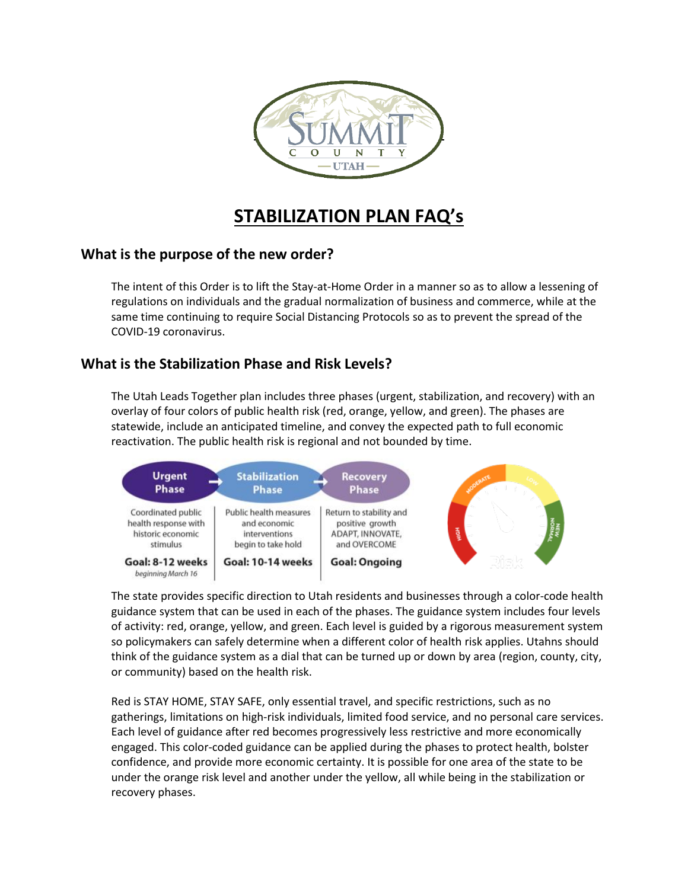

# **STABILIZATION PLAN FAQ's**

# **What is the purpose of the new order?**

The intent of this Order is to lift the Stay-at-Home Order in a manner so as to allow a lessening of regulations on individuals and the gradual normalization of business and commerce, while at the same time continuing to require Social Distancing Protocols so as to prevent the spread of the COVID-19 coronavirus.

# **What is the Stabilization Phase and Risk Levels?**

The Utah Leads Together plan includes three phases (urgent, stabilization, and recovery) with an overlay of four colors of public health risk (red, orange, yellow, and green). The phases are statewide, include an anticipated timeline, and convey the expected path to full economic reactivation. The public health risk is regional and not bounded by time.



The state provides specific direction to Utah residents and businesses through a color-code health guidance system that can be used in each of the phases. The guidance system includes four levels of activity: red, orange, yellow, and green. Each level is guided by a rigorous measurement system so policymakers can safely determine when a different color of health risk applies. Utahns should think of the guidance system as a dial that can be turned up or down by area (region, county, city, or community) based on the health risk.

Red is STAY HOME, STAY SAFE, only essential travel, and specific restrictions, such as no gatherings, limitations on high-risk individuals, limited food service, and no personal care services. Each level of guidance after red becomes progressively less restrictive and more economically engaged. This color-coded guidance can be applied during the phases to protect health, bolster confidence, and provide more economic certainty. It is possible for one area of the state to be under the orange risk level and another under the yellow, all while being in the stabilization or recovery phases.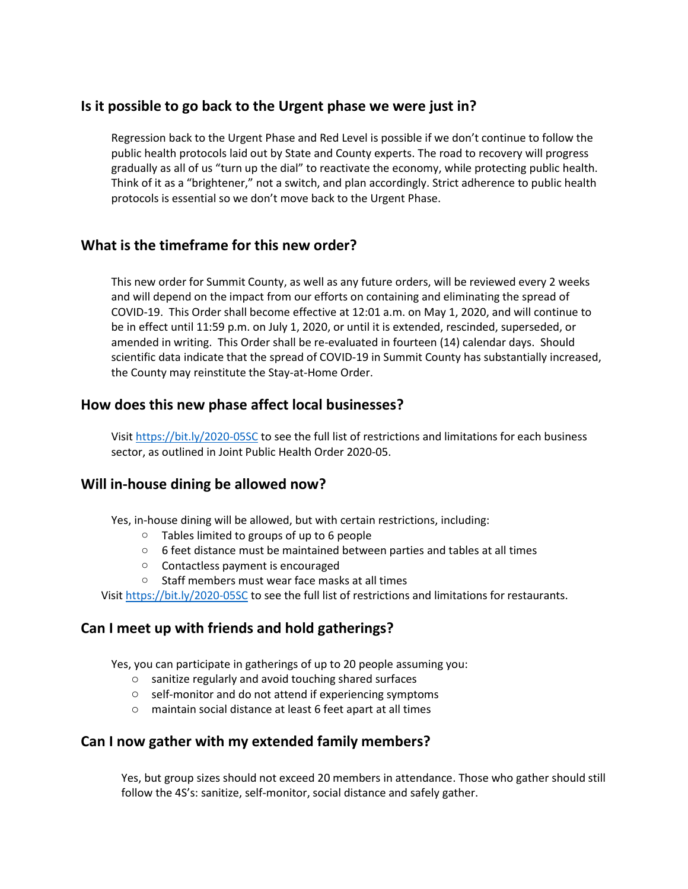# **Is it possible to go back to the Urgent phase we were just in?**

Regression back to the Urgent Phase and Red Level is possible if we don't continue to follow the public health protocols laid out by State and County experts. The road to recovery will progress gradually as all of us "turn up the dial" to reactivate the economy, while protecting public health. Think of it as a "brightener," not a switch, and plan accordingly. Strict adherence to public health protocols is essential so we don't move back to the Urgent Phase.

# **What is the timeframe for this new order?**

This new order for Summit County, as well as any future orders, will be reviewed every 2 weeks and will depend on the impact from our efforts on containing and eliminating the spread of COVID-19. This Order shall become effective at 12:01 a.m. on May 1, 2020, and will continue to be in effect until 11:59 p.m. on July 1, 2020, or until it is extended, rescinded, superseded, or amended in writing. This Order shall be re-evaluated in fourteen (14) calendar days. Should scientific data indicate that the spread of COVID-19 in Summit County has substantially increased, the County may reinstitute the Stay-at-Home Order.

# **How does this new phase affect local businesses?**

Visit<https://bit.ly/2020-05SC> to see the full list of restrictions and limitations for each business sector, as outlined in Joint Public Health Order 2020-05.

# **Will in-house dining be allowed now?**

Yes, in-house dining will be allowed, but with certain restrictions, including:

- o Tables limited to groups of up to 6 people
- o 6 feet distance must be maintained between parties and tables at all times
- o Contactless payment is encouraged
- o Staff members must wear face masks at all times

Visit<https://bit.ly/2020-05SC> to see the full list of restrictions and limitations for restaurants.

# **Can I meet up with friends and hold gatherings?**

Yes, you can participate in gatherings of up to 20 people assuming you:

- o sanitize regularly and avoid touching shared surfaces
- o self-monitor and do not attend if experiencing symptoms
- o maintain social distance at least 6 feet apart at all times

#### **Can I now gather with my extended family members?**

Yes, but group sizes should not exceed 20 members in attendance. Those who gather should still follow the 4S's: sanitize, self-monitor, social distance and safely gather.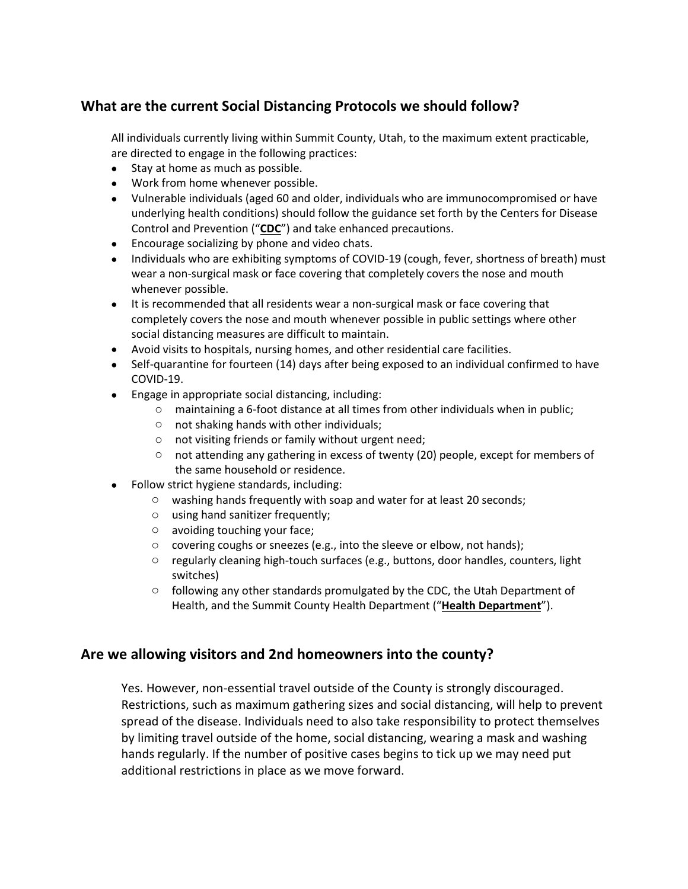# **What are the current Social Distancing Protocols we should follow?**

All individuals currently living within Summit County, Utah, to the maximum extent practicable, are directed to engage in the following practices:

- Stay at home as much as possible.
- Work from home whenever possible.
- Vulnerable individuals (aged 60 and older, individuals who are immunocompromised or have underlying health conditions) should follow the guidance set forth by the Centers for Disease Control and Prevention ("**CDC**") and take enhanced precautions.
- Encourage socializing by phone and video chats.
- Individuals who are exhibiting symptoms of COVID-19 (cough, fever, shortness of breath) must wear a non-surgical mask or face covering that completely covers the nose and mouth whenever possible.
- It is recommended that all residents wear a non-surgical mask or face covering that completely covers the nose and mouth whenever possible in public settings where other social distancing measures are difficult to maintain.
- Avoid visits to hospitals, nursing homes, and other residential care facilities.
- Self-quarantine for fourteen (14) days after being exposed to an individual confirmed to have COVID-19.
- Engage in appropriate social distancing, including:
	- $\circ$  maintaining a 6-foot distance at all times from other individuals when in public;
	- o not shaking hands with other individuals;
	- o not visiting friends or family without urgent need;
	- $\circ$  not attending any gathering in excess of twenty (20) people, except for members of the same household or residence.
- Follow strict hygiene standards, including:
	- o washing hands frequently with soap and water for at least 20 seconds;
	- o using hand sanitizer frequently;
	- o avoiding touching your face;
	- o covering coughs or sneezes (e.g., into the sleeve or elbow, not hands);
	- $\circ$  regularly cleaning high-touch surfaces (e.g., buttons, door handles, counters, light switches)
	- o following any other standards promulgated by the CDC, the Utah Department of Health, and the Summit County Health Department ("**Health Department**").

# **Are we allowing visitors and 2nd homeowners into the county?**

Yes. However, non-essential travel outside of the County is strongly discouraged. Restrictions, such as maximum gathering sizes and social distancing, will help to prevent spread of the disease. Individuals need to also take responsibility to protect themselves by limiting travel outside of the home, social distancing, wearing a mask and washing hands regularly. If the number of positive cases begins to tick up we may need put additional restrictions in place as we move forward.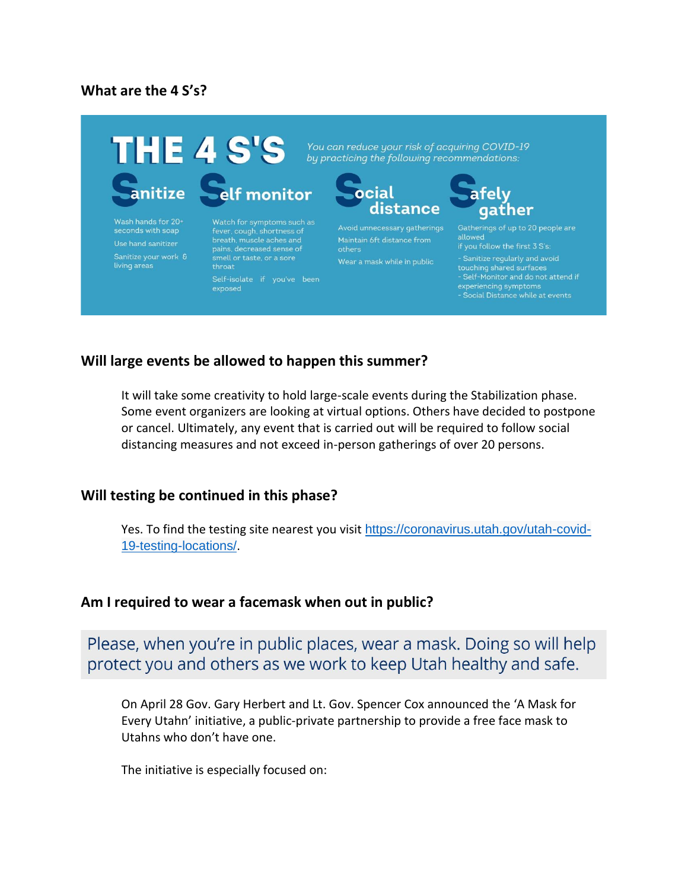#### **What are the 4 S's?**



Wash hands for 20+<br>seconds with soap Use hand sanitizer living areas

pains, decreased sense of throat

exposed

You can reduce your risk of acquiring COVID-19



Avoid unnecessary gatherings Wear a mask while in public

# felv gather

allowed touching shared surfaces<br>- Self-Monitor and do not attend if

#### **Will large events be allowed to happen this summer?**

It will take some creativity to hold large-scale events during the Stabilization phase. Some event organizers are looking at virtual options. Others have decided to postpone or cancel. Ultimately, any event that is carried out will be required to follow social distancing measures and not exceed in-person gatherings of over 20 persons.

#### **Will testing be continued in this phase?**

Yes. To find the testing site nearest you visit [https://coronavirus.utah.gov/utah-covid-](https://coronavirus.utah.gov/utah-covid-19-testing-locations/)[19-testing-locations/](https://coronavirus.utah.gov/utah-covid-19-testing-locations/).

#### **Am I required to wear a facemask when out in public?**

Please, when you're in public places, wear a mask. Doing so will help protect you and others as we work to keep Utah healthy and safe.

On April 28 Gov. Gary Herbert and Lt. Gov. Spencer Cox announced the 'A Mask for Every Utahn' initiative, a public-private partnership to provide a free face mask to Utahns who don't have one.

The initiative is especially focused on: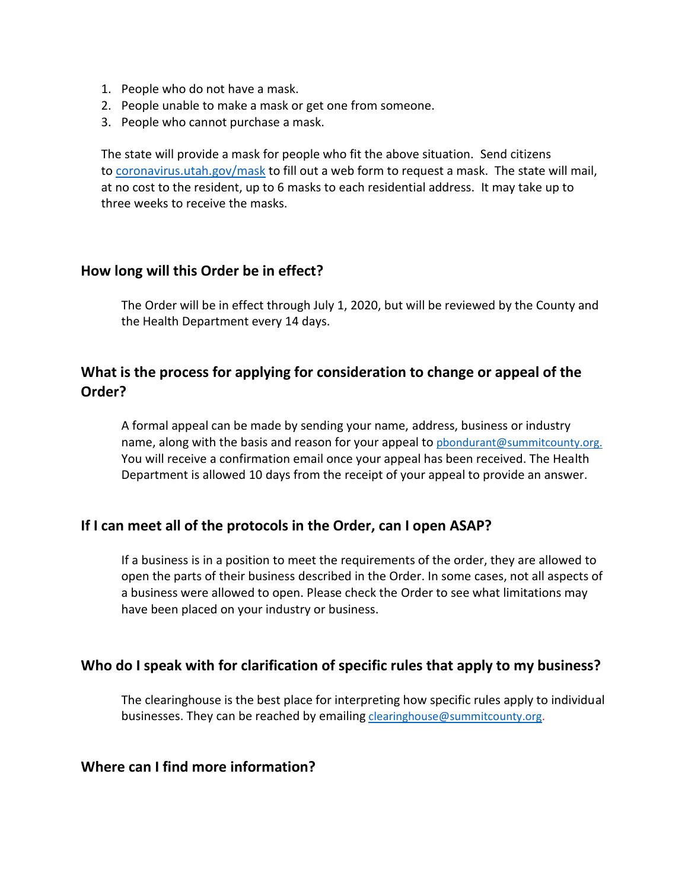- 1. People who do not have a mask.
- 2. People unable to make a mask or get one from someone.
- 3. People who cannot purchase a mask.

The state will provide a mask for people who fit the above situation. Send citizens to [coronavirus.utah.gov/mask](http://coronavirus.utah.gov/mask) to fill out a web form to request a mask. The state will mail, at no cost to the resident, up to 6 masks to each residential address. It may take up to three weeks to receive the masks.

#### **How long will this Order be in effect?**

The Order will be in effect through July 1, 2020, but will be reviewed by the County and the Health Department every 14 days.

# **What is the process for applying for consideration to change or appeal of the Order?**

A formal appeal can be made by sending your name, address, business or industry name, along with the basis and reason for your appeal to pbondurant@summitcounty.org. You will receive a confirmation email once your appeal has been received. The Health Department is allowed 10 days from the receipt of your appeal to provide an answer.

# **If I can meet all of the protocols in the Order, can I open ASAP?**

If a business is in a position to meet the requirements of the order, they are allowed to open the parts of their business described in the Order. In some cases, not all aspects of a business were allowed to open. Please check the Order to see what limitations may have been placed on your industry or business.

# **Who do I speak with for clarification of specific rules that apply to my business?**

The clearinghouse is the best place for interpreting how specific rules apply to individual businesses. They can be reached by emailing [clearinghouse@summitcounty.org.](mailto:clearinghouse@summitcounty.org)

# **Where can I find more information?**